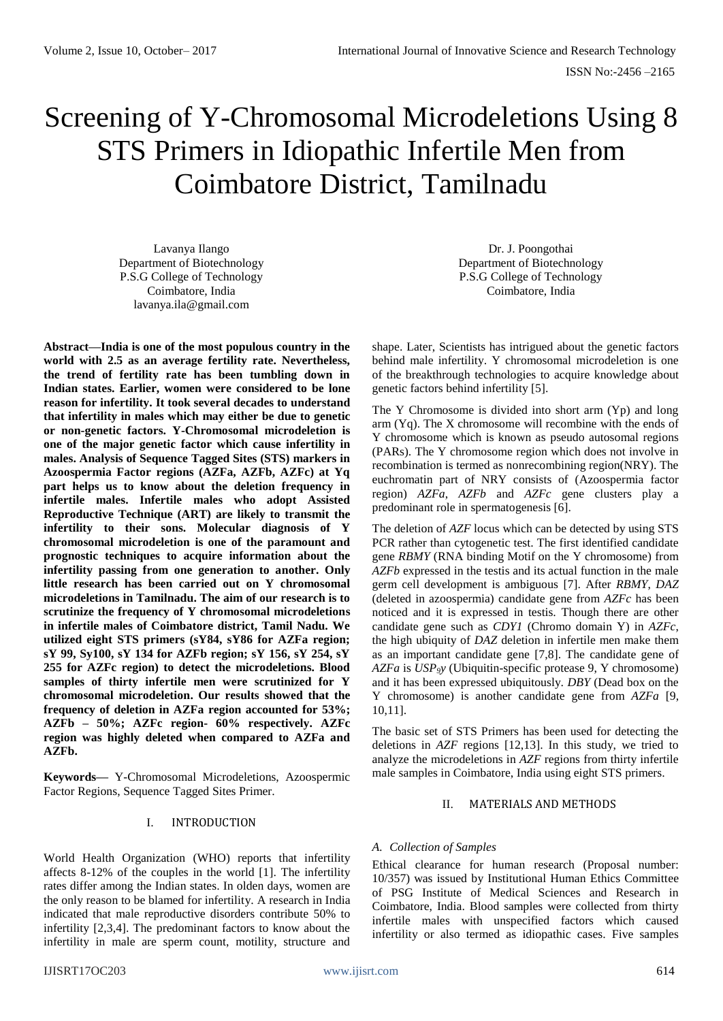# Screening of Y-Chromosomal Microdeletions Using 8 STS Primers in Idiopathic Infertile Men from Coimbatore District, Tamilnadu

Lavanya Ilango Department of Biotechnology P.S.G College of Technology Coimbatore, India lavanya.ila@gmail.com

**Abstract—India is one of the most populous country in the world with 2.5 as an average fertility rate. Nevertheless, the trend of fertility rate has been tumbling down in Indian states. Earlier, women were considered to be lone reason for infertility. It took several decades to understand that infertility in males which may either be due to genetic or non-genetic factors. Y-Chromosomal microdeletion is one of the major genetic factor which cause infertility in males. Analysis of Sequence Tagged Sites (STS) markers in Azoospermia Factor regions (AZFa, AZFb, AZFc) at Yq part helps us to know about the deletion frequency in infertile males. Infertile males who adopt Assisted Reproductive Technique (ART) are likely to transmit the infertility to their sons. Molecular diagnosis of Y chromosomal microdeletion is one of the paramount and prognostic techniques to acquire information about the infertility passing from one generation to another. Only little research has been carried out on Y chromosomal microdeletions in Tamilnadu. The aim of our research is to scrutinize the frequency of Y chromosomal microdeletions in infertile males of Coimbatore district, Tamil Nadu. We utilized eight STS primers (sY84, sY86 for AZFa region; sY 99, Sy100, sY 134 for AZFb region; sY 156, sY 254, sY 255 for AZFc region) to detect the microdeletions. Blood samples of thirty infertile men were scrutinized for Y chromosomal microdeletion. Our results showed that the frequency of deletion in AZFa region accounted for 53%; AZFb – 50%; AZFc region- 60% respectively. AZFc region was highly deleted when compared to AZFa and AZFb.**

**Keywords—** Y-Chromosomal Microdeletions, Azoospermic Factor Regions, Sequence Tagged Sites Primer.

# I. INTRODUCTION

World Health Organization (WHO) reports that infertility affects 8-12% of the couples in the world [1]. The infertility rates differ among the Indian states. In olden days, women are the only reason to be blamed for infertility. A research in India indicated that male reproductive disorders contribute 50% to infertility [2,3,4]. The predominant factors to know about the infertility in male are sperm count, motility, structure and

Dr. J. Poongothai Department of Biotechnology P.S.G College of Technology Coimbatore, India

shape. Later, Scientists has intrigued about the genetic factors behind male infertility. Y chromosomal microdeletion is one of the breakthrough technologies to acquire knowledge about genetic factors behind infertility [5].

The Y Chromosome is divided into short arm (Yp) and long arm (Yq). The X chromosome will recombine with the ends of Y chromosome which is known as pseudo autosomal regions (PARs). The Y chromosome region which does not involve in recombination is termed as nonrecombining region(NRY). The euchromatin part of NRY consists of (Azoospermia factor region) *AZFa*, *AZFb* and *AZFc* gene clusters play a predominant role in spermatogenesis [6].

The deletion of *AZF* locus which can be detected by using STS PCR rather than cytogenetic test. The first identified candidate gene *RBMY* (RNA binding Motif on the Y chromosome) from *AZFb* expressed in the testis and its actual function in the male germ cell development is ambiguous [7]. After *RBMY*, *DAZ* (deleted in azoospermia) candidate gene from *AZFc* has been noticed and it is expressed in testis. Though there are other candidate gene such as *CDY1* (Chromo domain Y) in *AZFc*, the high ubiquity of *DAZ* deletion in infertile men make them as an important candidate gene [7,8]. The candidate gene of *AZFa* is *USP9y* (Ubiquitin-specific protease 9, Y chromosome) and it has been expressed ubiquitously. *DBY* (Dead box on the Y chromosome) is another candidate gene from *AZFa* [9, 10,11].

The basic set of STS Primers has been used for detecting the deletions in *AZF* regions [12,13]. In this study, we tried to analyze the microdeletions in *AZF* regions from thirty infertile male samples in Coimbatore, India using eight STS primers.

## II. MATERIALS AND METHODS

# *A. Collection of Samples*

Ethical clearance for human research (Proposal number: 10/357) was issued by Institutional Human Ethics Committee of PSG Institute of Medical Sciences and Research in Coimbatore, India. Blood samples were collected from thirty infertile males with unspecified factors which caused infertility or also termed as idiopathic cases. Five samples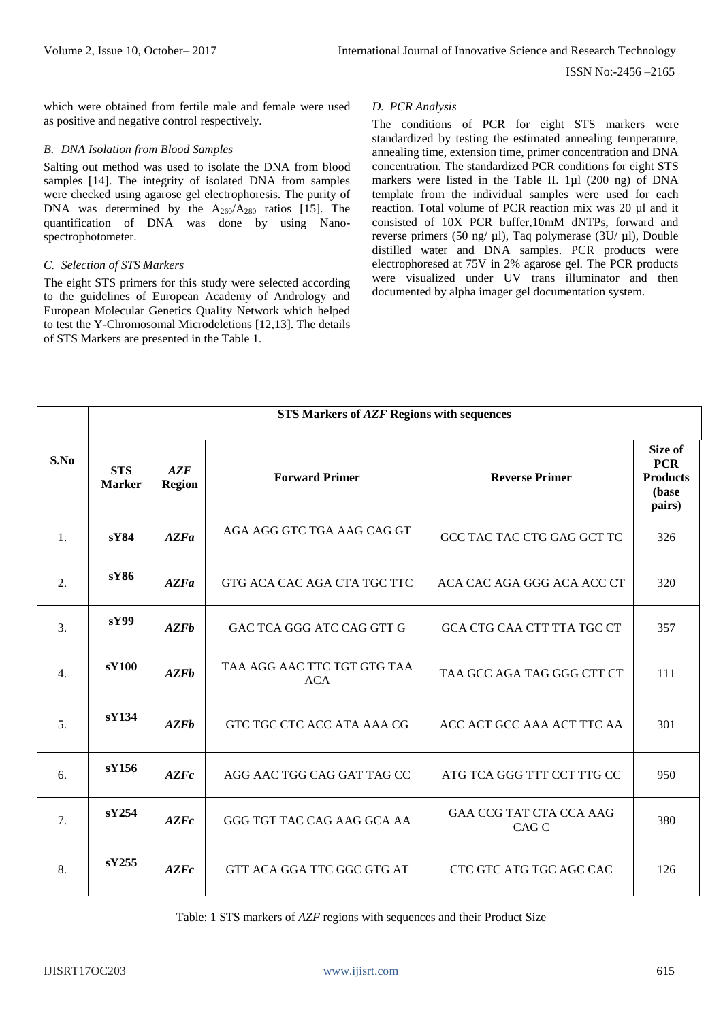ISSN No:-2456 –2165

which were obtained from fertile male and female were used as positive and negative control respectively.

#### *B. DNA Isolation from Blood Samples*

Salting out method was used to isolate the DNA from blood samples [14]. The integrity of isolated DNA from samples were checked using agarose gel electrophoresis. The purity of DNA was determined by the  $A_{260}/A_{280}$  ratios [15]. The quantification of DNA was done by using Nanospectrophotometer.

#### *C. Selection of STS Markers*

The eight STS primers for this study were selected according to the guidelines of European Academy of Andrology and European Molecular Genetics Quality Network which helped to test the Y-Chromosomal Microdeletions [12,13]. The details of STS Markers are presented in the Table 1.

## *D. PCR Analysis*

The conditions of PCR for eight STS markers were standardized by testing the estimated annealing temperature, annealing time, extension time, primer concentration and DNA concentration. The standardized PCR conditions for eight STS markers were listed in the Table II. 1µl (200 ng) of DNA template from the individual samples were used for each reaction. Total volume of PCR reaction mix was 20 µl and it consisted of 10X PCR buffer,10mM dNTPs, forward and reverse primers (50 ng/ µl), Taq polymerase (3U/ µl), Double distilled water and DNA samples. PCR products were electrophoresed at 75V in 2% agarose gel. The PCR products were visualized under UV trans illuminator and then documented by alpha imager gel documentation system.

|                  | <b>STS Markers of AZF Regions with sequences</b> |                      |                                           |                                         |                                                             |  |  |
|------------------|--------------------------------------------------|----------------------|-------------------------------------------|-----------------------------------------|-------------------------------------------------------------|--|--|
| S.No             | <b>STS</b><br><b>Marker</b>                      | AZF<br><b>Region</b> | <b>Forward Primer</b>                     | <b>Reverse Primer</b>                   | Size of<br><b>PCR</b><br><b>Products</b><br>(base<br>pairs) |  |  |
| $\mathbf{1}$ .   | s <b>Y84</b>                                     | AZFa                 | AGA AGG GTC TGA AAG CAG GT                | GCC TAC TAC CTG GAG GCT TC              | 326                                                         |  |  |
| 2.               | sY86                                             | AZFa                 | GTG ACA CAC AGA CTA TGC TTC               | ACA CAC AGA GGG ACA ACC CT              | 320                                                         |  |  |
| 3.               | sY99                                             | AZFb                 | GAC TCA GGG ATC CAG GTT G                 | GCA CTG CAA CTT TTA TGC CT              | 357                                                         |  |  |
| $\overline{4}$ . | sY100                                            | <b>AZFb</b>          | TAA AGG AAC TTC TGT GTG TAA<br><b>ACA</b> | TAA GCC AGA TAG GGG CTT CT              | 111                                                         |  |  |
| 5.               | sY134                                            | <b>AZFb</b>          | GTC TGC CTC ACC ATA AAA CG                | ACC ACT GCC AAA ACT TTC AA              | 301                                                         |  |  |
| 6.               | sY156                                            | AZFc                 | AGG AAC TGG CAG GAT TAG CC                | ATG TCA GGG TTT CCT TTG CC              | 950                                                         |  |  |
| 7.               | sY254                                            | AZFc                 | GGG TGT TAC CAG AAG GCA AA                | <b>GAA CCG TAT CTA CCA AAG</b><br>CAG C | 380                                                         |  |  |
| 8.               | sY255                                            | AZFc                 | GTT ACA GGA TTC GGC GTG AT                | CTC GTC ATG TGC AGC CAC                 | 126                                                         |  |  |

Table: 1 STS markers of *AZF* regions with sequences and their Product Size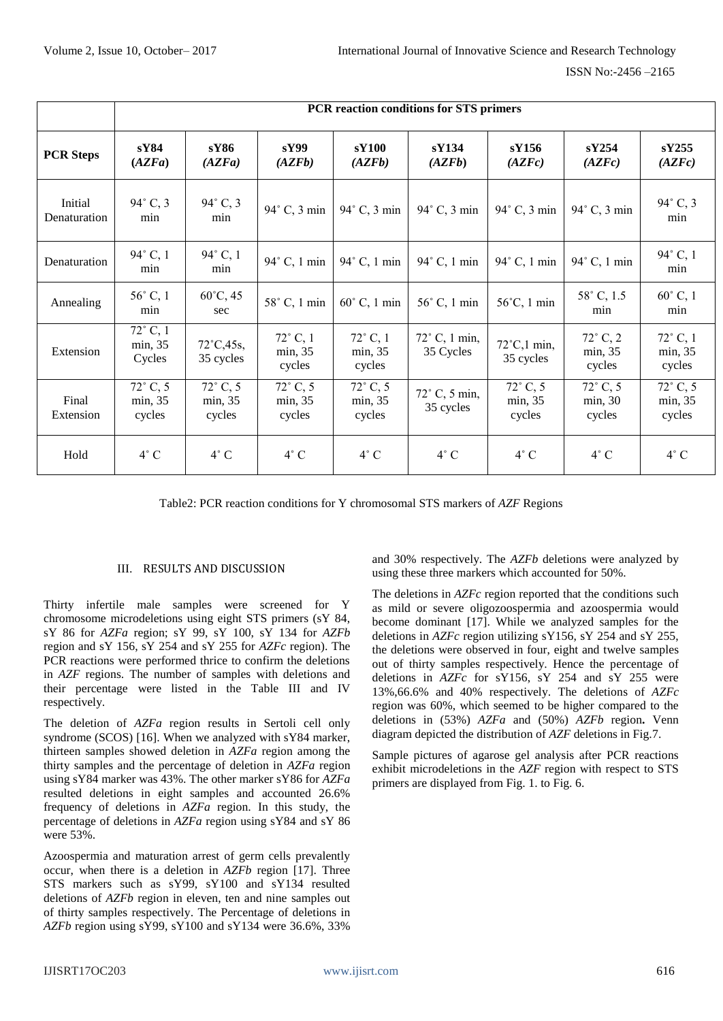ISSN No:-2456 –2165

|                         |                                        |                                        |                                        |                                        | PCR reaction conditions for STS primers |                                      |                                        |                                        |
|-------------------------|----------------------------------------|----------------------------------------|----------------------------------------|----------------------------------------|-----------------------------------------|--------------------------------------|----------------------------------------|----------------------------------------|
| <b>PCR Steps</b>        | sY84<br>(AZFa)                         | sY86<br>(AZFa)                         | sY99<br>(AZFb)                         | sY100<br>(AZFb)                        | sY134<br>(AZFb)                         | sY156<br>(AZFc)                      | sY254<br>(AZFc)                        | sY255<br>(AZFc)                        |
| Initial<br>Denaturation | 94° C, 3<br>min                        | $94^{\circ}$ C, 3<br>min               | 94° C, 3 min                           | $94^\circ$ C, 3 min                    | $94^\circ$ C, 3 min                     | 94° C, 3 min                         | 94° C, 3 min                           | 94° C, 3<br>min                        |
| Denaturation            | 94° C, 1<br>min                        | 94° C, 1<br>min                        | 94° C, 1 min                           | $94^\circ$ C, 1 min                    | 94° C, 1 min                            | 94° C, 1 min                         | 94° C, 1 min                           | 94° C, 1<br>min                        |
| Annealing               | 56° C, 1<br>min                        | $60^{\circ}$ C, 45<br>sec              | 58° C, 1 min                           | $60^\circ$ C, 1 min                    | 56° C, 1 min                            | $56^{\circ}$ C, 1 min                | 58° C, 1.5<br>min                      | $60^\circ$ C, 1<br>min                 |
| Extension               | $72^{\circ}$ C, 1<br>min, 35<br>Cycles | $72^{\circ}$ C, 45s,<br>35 cycles      | $72^\circ$ C, 1<br>min, 35<br>cycles   | $72^\circ$ C, 1<br>min, 35<br>cycles   | $72^{\circ}$ C, 1 min,<br>35 Cycles     | $72^{\circ}$ C,1 min,<br>35 cycles   | $72^{\circ}$ C, 2<br>min, 35<br>cycles | $72^{\circ}$ C, 1<br>min, 35<br>cycles |
| Final<br>Extension      | $72^{\circ}$ C, 5<br>min, 35<br>cycles | $72^{\circ}$ C, 5<br>min, 35<br>cycles | $72^{\circ}$ C, 5<br>min, 35<br>cycles | $72^{\circ}$ C, 5<br>min, 35<br>cycles | $72^\circ$ C, 5 min,<br>35 cycles       | $72^\circ$ C, 5<br>min, 35<br>cycles | $72^{\circ}$ C, 5<br>min, 30<br>cycles | $72^{\circ}$ C, 5<br>min, 35<br>cycles |
| Hold                    | $4^\circ$ C                            | $4^\circ$ C                            | $4^\circ$ C                            | $4^\circ$ C                            | $4^\circ$ C                             | $4^{\circ}$ C                        | $4^\circ$ C                            | $4^{\circ}$ C                          |

Table2: PCR reaction conditions for Y chromosomal STS markers of *AZF* Regions

#### III. RESULTS AND DISCUSSION

Thirty infertile male samples were screened for Y chromosome microdeletions using eight STS primers (sY 84, sY 86 for *AZFa* region; sY 99, sY 100, sY 134 for *AZFb*  region and sY 156, sY 254 and sY 255 for *AZFc* region). The PCR reactions were performed thrice to confirm the deletions in *AZF* regions. The number of samples with deletions and their percentage were listed in the Table III and IV respectively.

The deletion of *AZFa* region results in Sertoli cell only syndrome (SCOS) [16]. When we analyzed with sY84 marker, thirteen samples showed deletion in *AZFa* region among the thirty samples and the percentage of deletion in *AZFa* region using sY84 marker was 43%. The other marker sY86 for *AZFa*  resulted deletions in eight samples and accounted 26.6% frequency of deletions in *AZFa* region. In this study, the percentage of deletions in *AZFa* region using sY84 and sY 86 were 53%.

Azoospermia and maturation arrest of germ cells prevalently occur, when there is a deletion in *AZFb* region [17]. Three STS markers such as sY99, sY100 and sY134 resulted deletions of *AZFb* region in eleven, ten and nine samples out of thirty samples respectively. The Percentage of deletions in *AZFb* region using sY99, sY100 and sY134 were 36.6%, 33%

and 30% respectively. The *AZFb* deletions were analyzed by using these three markers which accounted for 50%.

The deletions in *AZFc* region reported that the conditions such as mild or severe oligozoospermia and azoospermia would become dominant [17]. While we analyzed samples for the deletions in *AZFc* region utilizing sY156, sY 254 and sY 255, the deletions were observed in four, eight and twelve samples out of thirty samples respectively. Hence the percentage of deletions in *AZFc* for sY156, sY 254 and sY 255 were 13%,66.6% and 40% respectively. The deletions of *AZFc* region was 60%, which seemed to be higher compared to the deletions in (53%) *AZFa* and (50%) *AZFb* region**.** Venn diagram depicted the distribution of *AZF* deletions in Fig.7.

Sample pictures of agarose gel analysis after PCR reactions exhibit microdeletions in the *AZF* region with respect to STS primers are displayed from Fig. 1. to Fig. 6.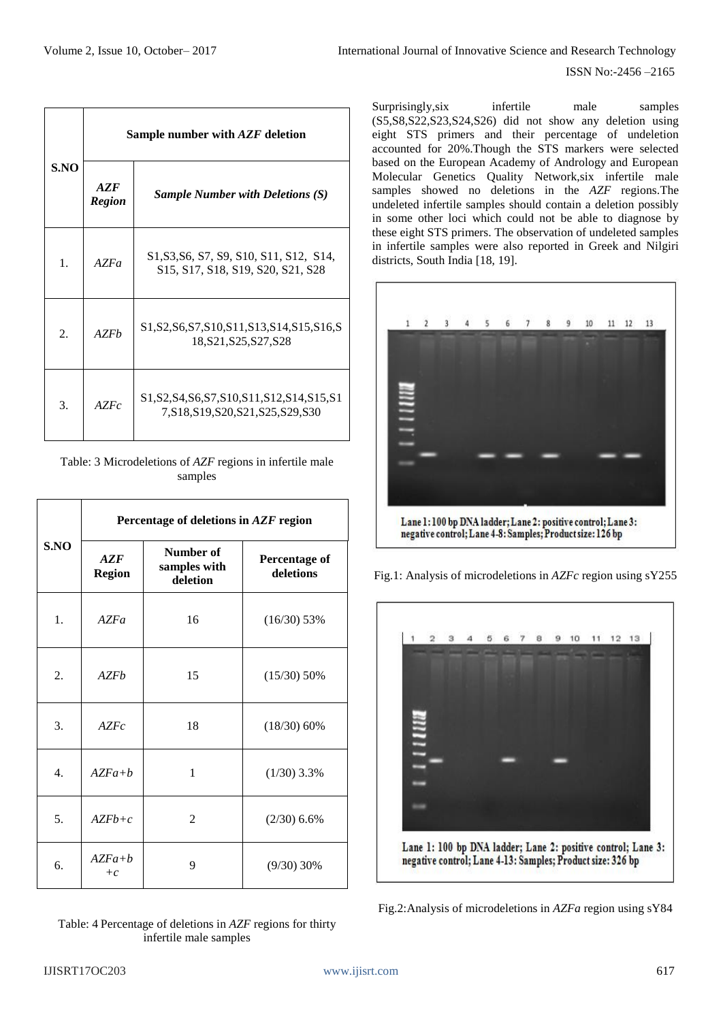ISSN No:-2456 –2165

|      | Sample number with AZF deletion |                                                                                                                                                                        |  |  |  |
|------|---------------------------------|------------------------------------------------------------------------------------------------------------------------------------------------------------------------|--|--|--|
| S.NO | AZF<br><b>Region</b>            | <b>Sample Number with Deletions (S)</b>                                                                                                                                |  |  |  |
| 1.   | AZFa                            | S1, S3, S6, S7, S9, S10, S11, S12, S14,<br>S <sub>15</sub> , S <sub>17</sub> , S <sub>18</sub> , S <sub>19</sub> , S <sub>20</sub> , S <sub>21</sub> , S <sub>28</sub> |  |  |  |
| 2.   | AZFh                            | S1, S2, S6, S7, S10, S11, S13, S14, S15, S16, S<br>18, S21, S25, S27, S28                                                                                              |  |  |  |
| 3.   | AZFc                            | S1, S2, S4, S6, S7, S10, S11, S12, S14, S15, S1<br>7, S18, S19, S20, S21, S25, S29, S30                                                                                |  |  |  |

Table: 3 Microdeletions of *AZF* regions in infertile male samples

|      | Percentage of deletions in AZF region |                                       |                                   |  |  |
|------|---------------------------------------|---------------------------------------|-----------------------------------|--|--|
| S.NO | AZF<br><b>Region</b>                  | Number of<br>samples with<br>deletion | <b>Percentage of</b><br>deletions |  |  |
| 1.   | AZFa                                  | 16                                    | $(16/30)$ 53%                     |  |  |
| 2.   | AZFb                                  | 15                                    | $(15/30)$ 50%                     |  |  |
| 3.   | AZFc                                  | 18                                    | $(18/30)$ 60%                     |  |  |
| 4.   | $AZFa+b$                              | 1                                     | $(1/30)$ 3.3%                     |  |  |
| 5.   | $AZFb+c$                              | $\overline{2}$                        | $(2/30)$ 6.6%                     |  |  |
| 6.   | $AZFa+b$<br>$+c$                      | 9                                     | $(9/30)$ 30%                      |  |  |

Table: 4 Percentage of deletions in *AZF* regions for thirty infertile male samples

Surprisingly, six infertile male samples (S5,S8,S22,S23,S24,S26) did not show any deletion using eight STS primers and their percentage of undeletion accounted for 20%.Though the STS markers were selected based on the European Academy of Andrology and European Molecular Genetics Quality Network,six infertile male samples showed no deletions in the *AZF* regions.The undeleted infertile samples should contain a deletion possibly in some other loci which could not be able to diagnose by these eight STS primers. The observation of undeleted samples in infertile samples were also reported in Greek and Nilgiri districts, South India [18, 19].





Fig.2:Analysis of microdeletions in *AZFa* region using sY84

Fig.1: Analysis of microdeletions in *AZFc* region using sY255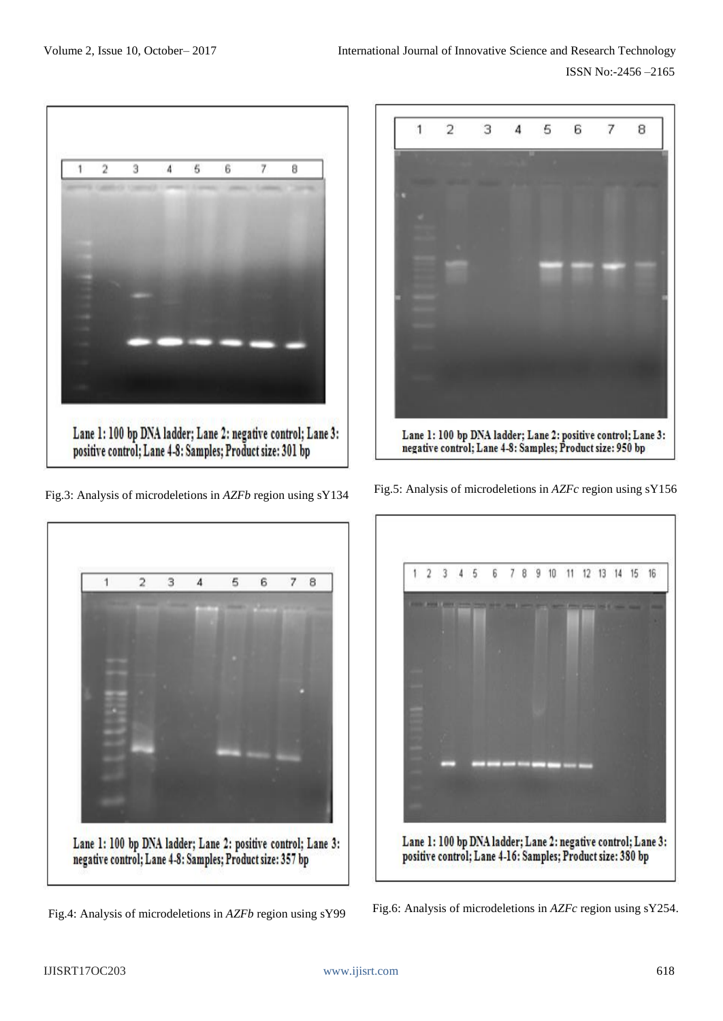

Fig.3: Analysis of microdeletions in *AZFb* region using sY134



Fig.4: Analysis of microdeletions in *AZFb* region using sY99



Fig.5: Analysis of microdeletions in *AZFc* region using sY156



Fig.6: Analysis of microdeletions in *AZFc* region using sY254.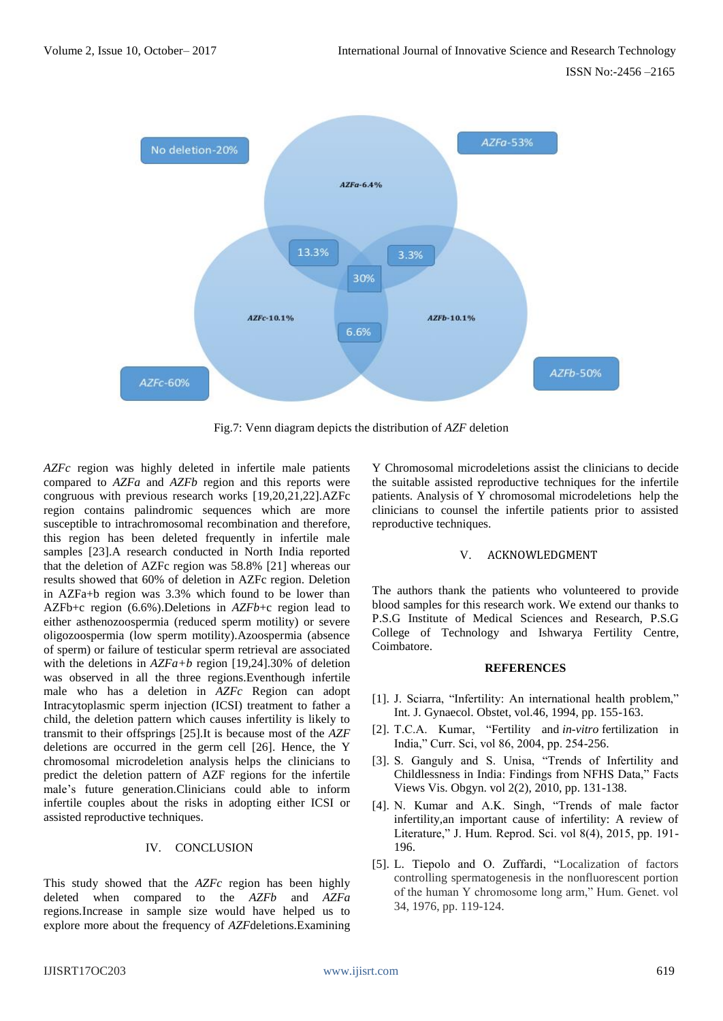

Fig.7: Venn diagram depicts the distribution of *AZF* deletion

*AZFc* region was highly deleted in infertile male patients compared to *AZFa* and *AZFb* region and this reports were congruous with previous research works [19,20,21,22].AZFc region contains palindromic sequences which are more susceptible to intrachromosomal recombination and therefore, this region has been deleted frequently in infertile male samples [23].A research conducted in North India reported that the deletion of AZFc region was 58.8% [21] whereas our results showed that 60% of deletion in AZFc region. Deletion in AZFa+b region was 3.3% which found to be lower than AZFb+c region (6.6%).Deletions in *AZFb*+c region lead to either asthenozoospermia (reduced sperm motility) or severe oligozoospermia (low sperm motility).Azoospermia (absence of sperm) or failure of testicular sperm retrieval are associated with the deletions in *AZFa+b* region [19,24].30% of deletion was observed in all the three regions.Eventhough infertile male who has a deletion in *AZFc* Region can adopt Intracytoplasmic sperm injection (ICSI) treatment to father a child, the deletion pattern which causes infertility is likely to transmit to their offsprings [25].It is because most of the *AZF*  deletions are occurred in the germ cell [26]. Hence, the Y chromosomal microdeletion analysis helps the clinicians to predict the deletion pattern of AZF regions for the infertile male's future generation.Clinicians could able to inform infertile couples about the risks in adopting either ICSI or assisted reproductive techniques.

## IV. CONCLUSION

This study showed that the *AZFc* region has been highly deleted when compared to the *AZFb* and *AZFa* regions*.*Increase in sample size would have helped us to explore more about the frequency of *AZF*deletions.Examining

Y Chromosomal microdeletions assist the clinicians to decide the suitable assisted reproductive techniques for the infertile patients. Analysis of Y chromosomal microdeletions help the clinicians to counsel the infertile patients prior to assisted reproductive techniques.

## V. ACKNOWLEDGMENT

The authors thank the patients who volunteered to provide blood samples for this research work. We extend our thanks to P.S.G Institute of Medical Sciences and Research, P.S.G College of Technology and Ishwarya Fertility Centre, Coimbatore.

## **REFERENCES**

- [1]. J. Sciarra, "Infertility: An international health problem," Int. J. Gynaecol. Obstet, vol.46, 1994, pp. 155-163.
- [2]. T.C.A. Kumar, "Fertility and *in-vitro* fertilization in India," Curr. Sci, vol 86, 2004, pp. 254-256.
- [3]. S. Ganguly and S. Unisa, "Trends of Infertility and Childlessness in India: Findings from NFHS Data," Facts Views Vis. Obgyn. vol 2(2), 2010, pp. 131-138.
- [4]. N. Kumar and A.K. Singh, "Trends of male factor infertility,an important cause of infertility: A review of Literature," J. Hum. Reprod. Sci. vol 8(4), 2015, pp. 191- 196.
- [5]. L. Tiepolo and O. Zuffardi, "Localization of factors controlling spermatogenesis in the nonfluorescent portion of the human Y chromosome long arm," Hum. Genet. vol 34, 1976, pp. 119-124.